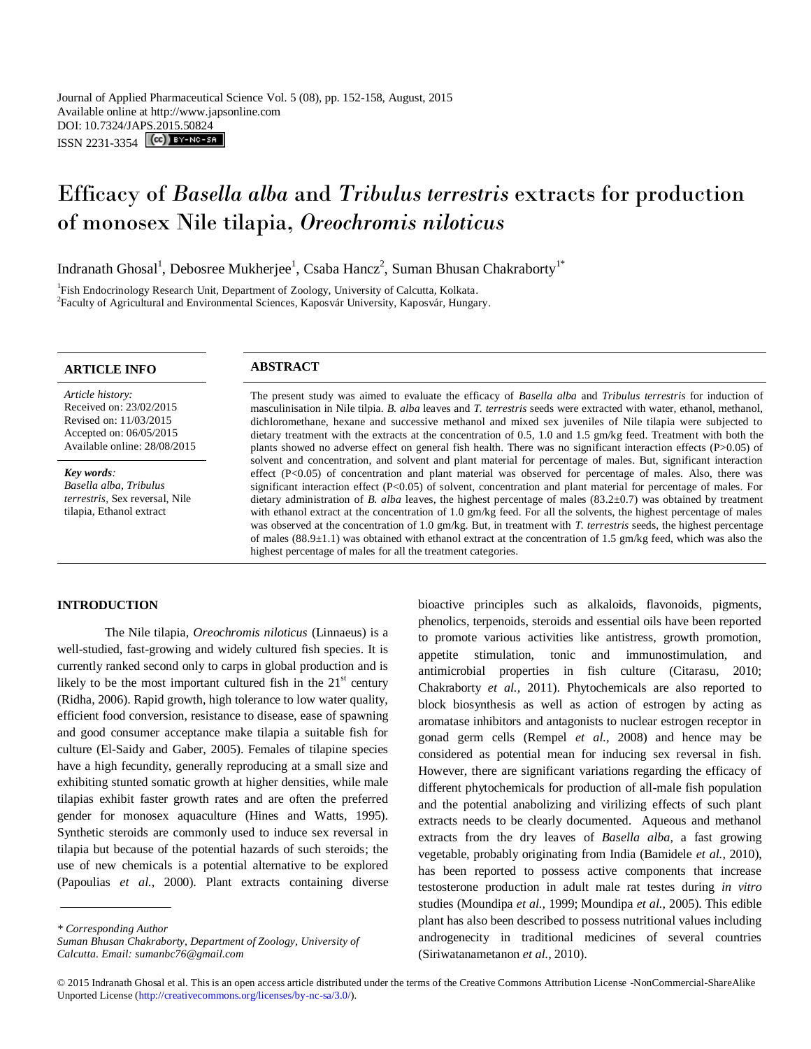# Efficacy of *Basella alba* and *Tribulus terrestris* extracts for production of monosex Nile tilapia, *Oreochromis niloticus*

Indranath Ghosal<sup>1</sup>, Debosree Mukherjee<sup>1</sup>, Csaba Hancz<sup>2</sup>, Suman Bhusan Chakraborty<sup>1\*</sup>

<sup>1</sup>Fish Endocrinology Research Unit, Department of Zoology, University of Calcutta, Kolkata. <sup>2</sup> Faculty of Agricultural and Environmental Sciences, Kaposvár University, Kaposvár, Hungary.

# **ARTICLE INFO ABSTRACT**

*Article history:* Received on: 23/02/2015 Revised on: 11/03/2015 Accepted on: 06/05/2015 Available online: 28/08/2015

*Key words: Basella alba*, *Tribulus terrestris*, Sex reversal, Nile tilapia, Ethanol extract

The present study was aimed to evaluate the efficacy of *Basella alba* and *Tribulus terrestris* for induction of masculinisation in Nile tilpia. *B. alba* leaves and *T. terrestris* seeds were extracted with water, ethanol, methanol, dichloromethane, hexane and successive methanol and mixed sex juveniles of Nile tilapia were subjected to dietary treatment with the extracts at the concentration of 0.5, 1.0 and 1.5 gm/kg feed. Treatment with both the plants showed no adverse effect on general fish health. There was no significant interaction effects (P>0.05) of solvent and concentration, and solvent and plant material for percentage of males. But, significant interaction effect (P<0.05) of concentration and plant material was observed for percentage of males. Also, there was significant interaction effect (P<0.05) of solvent, concentration and plant material for percentage of males. For dietary administration of *B. alba* leaves, the highest percentage of males (83.2±0.7) was obtained by treatment with ethanol extract at the concentration of 1.0 gm/kg feed. For all the solvents, the highest percentage of males was observed at the concentration of 1.0 gm/kg. But, in treatment with *T. terrestris* seeds, the highest percentage of males (88.9±1.1) was obtained with ethanol extract at the concentration of 1.5 gm/kg feed, which was also the highest percentage of males for all the treatment categories.

# **INTRODUCTION**

The Nile tilapia, *Oreochromis niloticus* (Linnaeus) is a well-studied, fast-growing and widely cultured fish species. It is currently ranked second only to carps in global production and is likely to be the most important cultured fish in the  $21<sup>st</sup>$  century (Ridha, 2006). Rapid growth, high tolerance to low water quality, efficient food conversion, resistance to disease, ease of spawning and good consumer acceptance make tilapia a suitable fish for culture (El-Saidy and Gaber, 2005). Females of tilapine species have a high fecundity, generally reproducing at a small size and exhibiting stunted somatic growth at higher densities, while male tilapias exhibit faster growth rates and are often the preferred gender for monosex aquaculture (Hines and Watts, 1995). Synthetic steroids are commonly used to induce sex reversal in tilapia but because of the potential hazards of such steroids; the use of new chemicals is a potential alternative to be explored (Papoulias *et al.,* 2000). Plant extracts containing diverse

*Suman Bhusan Chakraborty, Department of Zoology, University of Calcutta. Email: sumanbc76@gmail.com*

bioactive principles such as alkaloids, flavonoids, pigments, phenolics, terpenoids, steroids and essential oils have been reported to promote various activities like antistress, growth promotion, appetite stimulation, tonic and immunostimulation, and antimicrobial properties in fish culture (Citarasu, 2010; Chakraborty *et al.,* 2011). Phytochemicals are also reported to block biosynthesis as well as action of estrogen by acting as aromatase inhibitors and antagonists to nuclear estrogen receptor in gonad germ cells (Rempel *et al.,* 2008) and hence may be considered as potential mean for inducing sex reversal in fish. However, there are significant variations regarding the efficacy of different phytochemicals for production of all-male fish population and the potential anabolizing and virilizing effects of such plant extracts needs to be clearly documented. Aqueous and methanol extracts from the dry leaves of *Basella alba*, a fast growing vegetable, probably originating from India (Bamidele *et al.,* 2010), has been reported to possess active components that increase testosterone production in adult male rat testes during *in vitro* studies (Moundipa *et al.,* 1999; Moundipa *et al.,* 2005). This edible plant has also been described to possess nutritional values including androgenecity in traditional medicines of several countries (Siriwatanametanon *et al.,* 2010).

*<sup>\*</sup> Corresponding Author*

<sup>© 2015</sup> Indranath Ghosal et al. This is an open access article distributed under the terms of the Creative Commons Attribution License -NonCommercial-ShareAlike Unported License (http://creativecommons.org/licenses/by-nc-sa/3.0/).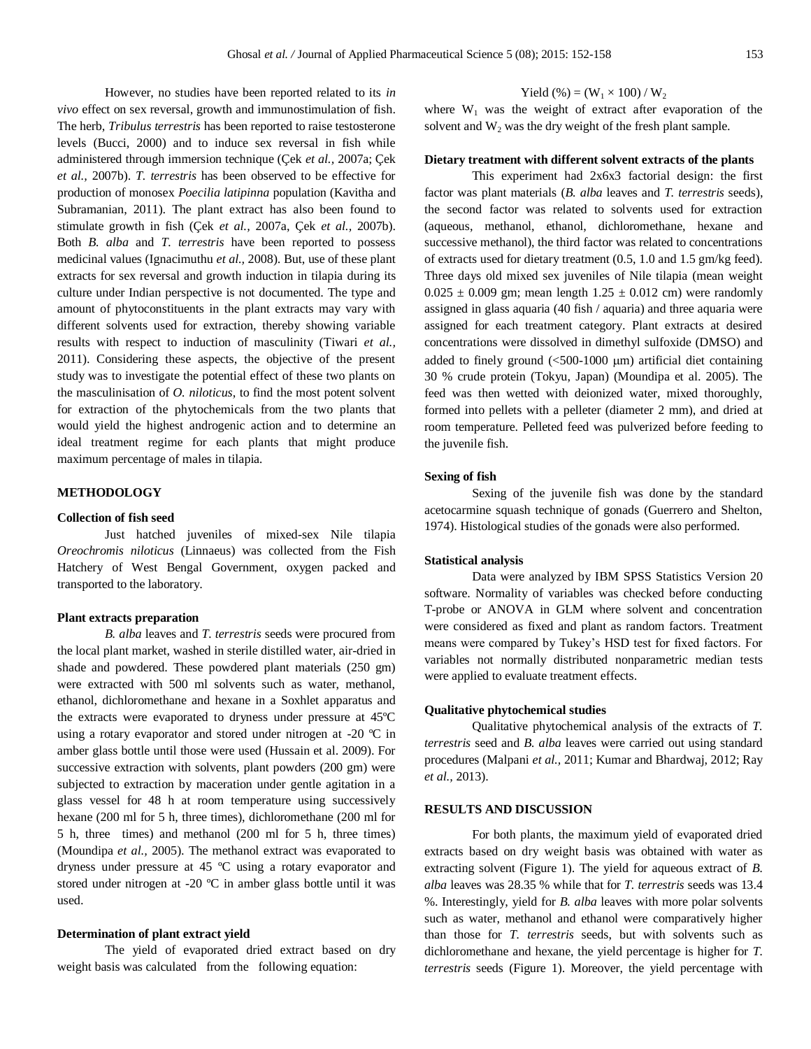However, no studies have been reported related to its *in vivo* effect on sex reversal, growth and immunostimulation of fish. The herb, *Tribulus terrestris* has been reported to raise testosterone levels (Bucci, 2000) and to induce sex reversal in fish while administered through immersion technique (Çek *et al.,* 2007a; Çek *et al.,* 2007b). *T. terrestris* has been observed to be effective for production of monosex *Poecilia latipinna* population (Kavitha and Subramanian, 2011). The plant extract has also been found to stimulate growth in fish (Çek *et al.,* 2007a, Çek *et al.,* 2007b). Both *B. alba* and *T. terrestris* have been reported to possess medicinal values (Ignacimuthu *et al.,* 2008). But, use of these plant extracts for sex reversal and growth induction in tilapia during its culture under Indian perspective is not documented. The type and amount of phytoconstituents in the plant extracts may vary with different solvents used for extraction, thereby showing variable results with respect to induction of masculinity (Tiwari *et al.,*  2011). Considering these aspects, the objective of the present study was to investigate the potential effect of these two plants on the masculinisation of *O. niloticus*, to find the most potent solvent for extraction of the phytochemicals from the two plants that would yield the highest androgenic action and to determine an ideal treatment regime for each plants that might produce maximum percentage of males in tilapia*.*

# **METHODOLOGY**

### **Collection of fish seed**

Just hatched juveniles of mixed-sex Nile tilapia *Oreochromis niloticus* (Linnaeus) was collected from the Fish Hatchery of West Bengal Government, oxygen packed and transported to the laboratory.

#### **Plant extracts preparation**

*B. alba* leaves and *T. terrestris* seeds were procured from the local plant market, washed in sterile distilled water, air-dried in shade and powdered. These powdered plant materials (250 gm) were extracted with 500 ml solvents such as water, methanol, ethanol, dichloromethane and hexane in a Soxhlet apparatus and the extracts were evaporated to dryness under pressure at 45ºC using a rotary evaporator and stored under nitrogen at -20 ºC in amber glass bottle until those were used (Hussain et al. 2009). For successive extraction with solvents, plant powders (200 gm) were subjected to extraction by maceration under gentle agitation in a glass vessel for 48 h at room temperature using successively hexane (200 ml for 5 h, three times), dichloromethane (200 ml for 5 h, three times) and methanol (200 ml for 5 h, three times) (Moundipa *et al.,* 2005). The methanol extract was evaporated to dryness under pressure at 45 ºC using a rotary evaporator and stored under nitrogen at -20 ºC in amber glass bottle until it was used.

# **Determination of plant extract yield**

The yield of evaporated dried extract based on dry weight basis was calculated from the following equation:

# Yield  $(\%)=(W_1 \times 100) / W_2$

where  $W_1$  was the weight of extract after evaporation of the solvent and  $W<sub>2</sub>$  was the dry weight of the fresh plant sample.

# **Dietary treatment with different solvent extracts of the plants**

This experiment had 2x6x3 factorial design: the first factor was plant materials (*B. alba* leaves and *T. terrestris* seeds), the second factor was related to solvents used for extraction (aqueous, methanol, ethanol, dichloromethane, hexane and successive methanol), the third factor was related to concentrations of extracts used for dietary treatment (0.5, 1.0 and 1.5 gm/kg feed). Three days old mixed sex juveniles of Nile tilapia (mean weight  $0.025 \pm 0.009$  gm; mean length  $1.25 \pm 0.012$  cm) were randomly assigned in glass aquaria (40 fish / aquaria) and three aquaria were assigned for each treatment category. Plant extracts at desired concentrations were dissolved in dimethyl sulfoxide (DMSO) and added to finely ground  $\left( \langle 500 \text{--} 1000 \text{ } \rangle \right)$  artificial diet containing 30 % crude protein (Tokyu, Japan) (Moundipa et al. 2005). The feed was then wetted with deionized water, mixed thoroughly, formed into pellets with a pelleter (diameter 2 mm), and dried at room temperature. Pelleted feed was pulverized before feeding to the juvenile fish.

#### **Sexing of fish**

Sexing of the juvenile fish was done by the standard acetocarmine squash technique of gonads (Guerrero and Shelton, 1974). Histological studies of the gonads were also performed.

#### **Statistical analysis**

Data were analyzed by IBM SPSS Statistics Version 20 software. Normality of variables was checked before conducting T-probe or ANOVA in GLM where solvent and concentration were considered as fixed and plant as random factors. Treatment means were compared by Tukey's HSD test for fixed factors. For variables not normally distributed nonparametric median tests were applied to evaluate treatment effects.

#### **Qualitative phytochemical studies**

Qualitative phytochemical analysis of the extracts of *T. terrestris* seed and *B. alba* leaves were carried out using standard procedures (Malpani *et al.,* 2011; Kumar and Bhardwaj, 2012; Ray *et al.,* 2013).

# **RESULTS AND DISCUSSION**

For both plants, the maximum yield of evaporated dried extracts based on dry weight basis was obtained with water as extracting solvent (Figure 1). The yield for aqueous extract of *B. alba* leaves was 28.35 % while that for *T. terrestris* seeds was 13.4 %. Interestingly, yield for *B. alba* leaves with more polar solvents such as water, methanol and ethanol were comparatively higher than those for *T. terrestris* seeds, but with solvents such as dichloromethane and hexane, the yield percentage is higher for *T. terrestris* seeds (Figure 1). Moreover, the yield percentage with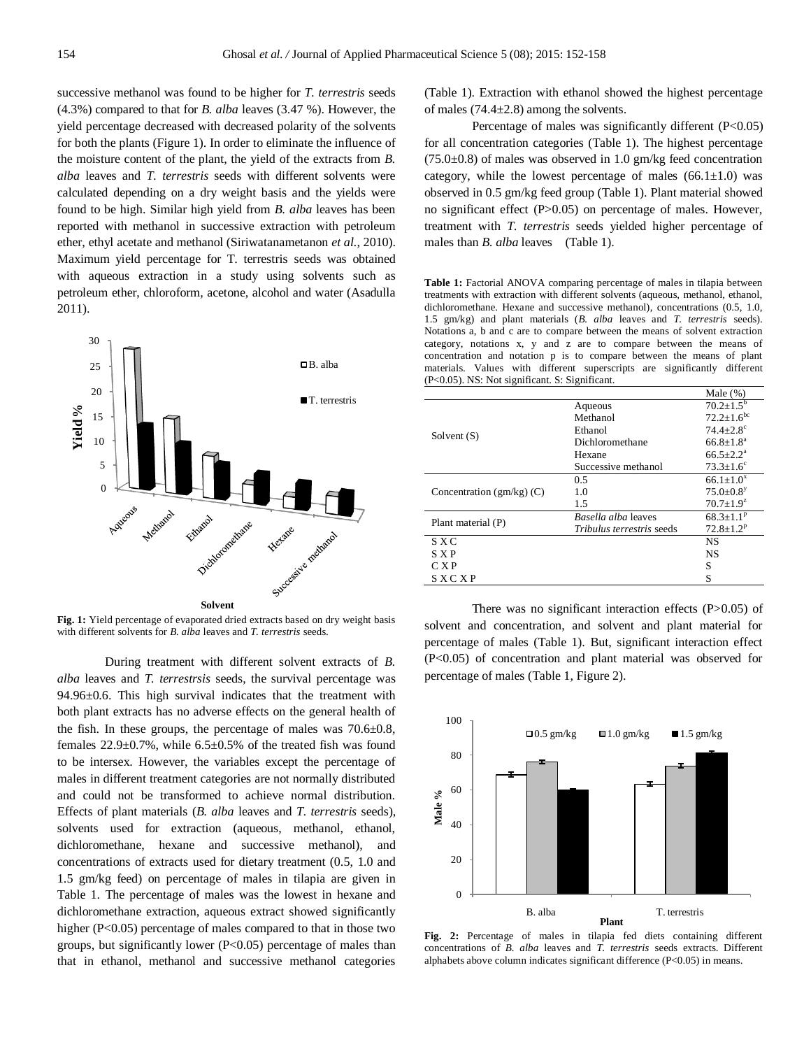successive methanol was found to be higher for *T. terrestris* seeds (4.3%) compared to that for *B. alba* leaves (3.47 %). However, the yield percentage decreased with decreased polarity of the solvents for both the plants (Figure 1). In order to eliminate the influence of the moisture content of the plant, the yield of the extracts from *B. alba* leaves and *T. terrestris* seeds with different solvents were calculated depending on a dry weight basis and the yields were found to be high. Similar high yield from *B. alba* leaves has been reported with methanol in successive extraction with petroleum ether, ethyl acetate and methanol (Siriwatanametanon *et al.,* 2010). Maximum yield percentage for T. terrestris seeds was obtained with aqueous extraction in a study using solvents such as petroleum ether, chloroform, acetone, alcohol and water (Asadulla 2011).



**Fig. 1:** Yield percentage of evaporated dried extracts based on dry weight basis with different solvents for *B. alba* leaves and *T. terrestris* seeds.

During treatment with different solvent extracts of *B. alba* leaves and *T. terrestrsis* seeds, the survival percentage was 94.96±0.6. This high survival indicates that the treatment with both plant extracts has no adverse effects on the general health of the fish. In these groups, the percentage of males was  $70.6\pm0.8$ , females  $22.9\pm0.7\%$ , while  $6.5\pm0.5\%$  of the treated fish was found to be intersex. However, the variables except the percentage of males in different treatment categories are not normally distributed and could not be transformed to achieve normal distribution. Effects of plant materials (*B. alba* leaves and *T. terrestris* seeds), solvents used for extraction (aqueous, methanol, ethanol, dichloromethane, hexane and successive methanol), and concentrations of extracts used for dietary treatment (0.5, 1.0 and 1.5 gm/kg feed) on percentage of males in tilapia are given in Table 1. The percentage of males was the lowest in hexane and dichloromethane extraction, aqueous extract showed significantly higher (P<0.05) percentage of males compared to that in those two groups, but significantly lower  $(P<0.05)$  percentage of males than that in ethanol, methanol and successive methanol categories

(Table 1). Extraction with ethanol showed the highest percentage of males (74.4±2.8) among the solvents.

Percentage of males was significantly different  $(P<0.05)$ for all concentration categories (Table 1). The highest percentage  $(75.0\pm0.8)$  of males was observed in 1.0 gm/kg feed concentration category, while the lowest percentage of males  $(66.1 \pm 1.0)$  was observed in 0.5 gm/kg feed group (Table 1). Plant material showed no significant effect (P>0.05) on percentage of males. However, treatment with *T. terrestris* seeds yielded higher percentage of males than *B. alba* leaves (Table 1).

Table 1: Factorial ANOVA comparing percentage of males in tilapia between treatments with extraction with different solvents (aqueous, methanol, ethanol, dichloromethane. Hexane and successive methanol), concentrations (0.5, 1.0, 1.5 gm/kg) and plant materials (*B. alba* leaves and *T. terrestris* seeds). Notations a, b and c are to compare between the means of solvent extraction category, notations x, y and z are to compare between the means of concentration and notation p is to compare between the means of plant materials. Values with different superscripts are significantly different (P<0.05). NS: Not significant. S: Significant.

|                                  | Male $(\%)$                 |
|----------------------------------|-----------------------------|
| Aqueous                          | $70.2 \pm 1.5^{\circ}$      |
| Methanol                         | $72.2 + 1.6^{bc}$           |
| Ethanol                          | $74.4 + 2.8$ <sup>c</sup>   |
| Dichloromethane                  | $66.8 + 1.8a$               |
| Hexane                           | $66.5 + 2.2^a$              |
| Successive methanol              | $73.3 \pm 1.6^c$            |
| 0.5                              | $66.1 + 1.0^{x}$            |
| 1.0                              | $75.0 \pm 0.8$ <sup>y</sup> |
| 1.5                              | $70.7 \pm 1.9^z$            |
| Basella alba leaves              | $68.3 \pm 1.1$ <sup>p</sup> |
| <i>Tribulus terrestris seeds</i> | $72.8 + 1.2^p$              |
|                                  | <b>NS</b>                   |
|                                  | <b>NS</b>                   |
|                                  | S                           |
|                                  | S                           |
|                                  |                             |

There was no significant interaction effects (P>0.05) of solvent and concentration, and solvent and plant material for percentage of males (Table 1). But, significant interaction effect (P<0.05) of concentration and plant material was observed for percentage of males (Table 1, Figure 2).



**Fig. 2:** Percentage of males in tilapia fed diets containing different concentrations of *B. alba* leaves and *T. terrestris* seeds extracts. Different alphabets above column indicates significant difference (P<0.05) in means.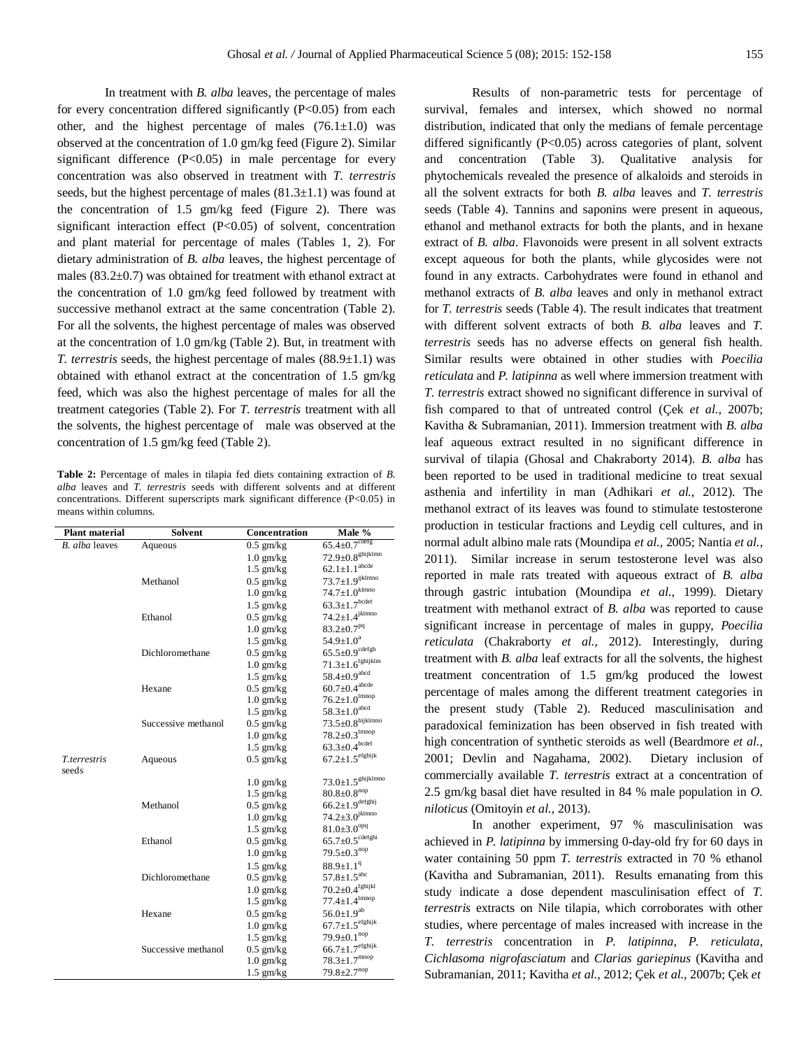In treatment with *B. alba* leaves, the percentage of males for every concentration differed significantly  $(P<0.05)$  from each other, and the highest percentage of males  $(76.1 \pm 1.0)$  was observed at the concentration of 1.0 gm/kg feed (Figure 2). Similar significant difference  $(P<0.05)$  in male percentage for every concentration was also observed in treatment with *T. terrestris* seeds, but the highest percentage of males  $(81.3\pm1.1)$  was found at the concentration of 1.5 gm/kg feed (Figure 2). There was significant interaction effect (P<0.05) of solvent, concentration and plant material for percentage of males (Tables 1, 2). For dietary administration of *B. alba* leaves, the highest percentage of males  $(83.2\pm0.7)$  was obtained for treatment with ethanol extract at the concentration of 1.0 gm/kg feed followed by treatment with successive methanol extract at the same concentration (Table 2). For all the solvents, the highest percentage of males was observed at the concentration of 1.0 gm/kg (Table 2). But, in treatment with *T. terrestris* seeds, the highest percentage of males (88.9±1.1) was obtained with ethanol extract at the concentration of 1.5 gm/kg feed, which was also the highest percentage of males for all the treatment categories (Table 2). For *T. terrestris* treatment with all the solvents, the highest percentage of male was observed at the concentration of 1.5 gm/kg feed (Table 2).

**Table 2:** Percentage of males in tilapia fed diets containing extraction of *B. alba* leaves and *T. terrestris* seeds with different solvents and at different concentrations. Different superscripts mark significant difference (P<0.05) in means within columns.

| <b>Plant material</b>            | <b>Solvent</b>      | Concentration | Male $\overline{\%}$                |  |  |
|----------------------------------|---------------------|---------------|-------------------------------------|--|--|
| B. alba leaves                   | Aqueous             | $0.5$ gm/kg   | $65.4 \pm 0.7$ cdetg                |  |  |
|                                  |                     | $1.0$ gm/kg   | $72.9 \pm 0.8$ <sup>ghijklmn</sup>  |  |  |
|                                  |                     | $1.5$ gm/kg   | $62.1 \pm 1.1$ <sup>abcde</sup>     |  |  |
|                                  | Methanol            | $0.5$ gm/kg   | $73.7 \pm 1.9$ ijklmno              |  |  |
|                                  |                     | $1.0$ gm/kg   | $74.7 \pm 1.0$ <sup>kImno</sup>     |  |  |
|                                  |                     | $1.5$ gm/kg   | $63.3 \pm 1.7$ bcdef                |  |  |
|                                  | Ethanol             | $0.5$ gm/kg   | $74.2 \pm 1.4$ <sup>JkImno</sup>    |  |  |
|                                  |                     | $1.0$ gm/kg   | $83.2 \pm 0.7^{pq}$                 |  |  |
|                                  |                     | $1.5$ gm/kg   | $54.9 \pm 1.0^a$                    |  |  |
|                                  | Dichloromethane     | $0.5$ gm/kg   | $65.5 \pm 0.9$ cdefgh               |  |  |
|                                  |                     | $1.0$ gm/kg   | $71.3 \pm 1.6$ <sup>tghykIm</sup>   |  |  |
|                                  |                     | $1.5$ gm/kg   | $58.4 \pm 0.9$ <sup>abcd</sup>      |  |  |
|                                  | Hexane              | $0.5$ gm/kg   | $60.7 \pm 0.4$ <sup>abcde</sup>     |  |  |
|                                  |                     | $1.0$ gm/kg   | $76.2 \pm 1.0$ <sup>Imnop</sup>     |  |  |
|                                  |                     | $1.5$ gm/kg   | $58.3 \pm 1.0$ <sup>abcd</sup>      |  |  |
|                                  | Successive methanol | $0.5$ gm/kg   | $73.5 \pm 0.8$ hijklmno             |  |  |
|                                  |                     | $1.0$ gm/kg   | $78.2 \pm 0.3$ <sup>Imnop</sup>     |  |  |
|                                  |                     | $1.5$ gm/kg   | $63.3 \pm 0.4$ bcdef                |  |  |
| T <sub>terrestris</sub><br>seeds | Aqueous             | $0.5$ gm/kg   | $67.2 \pm 1.5$ efghijk              |  |  |
|                                  |                     | $1.0$ gm/kg   | $73.0 \pm 1.5$ <sup>ghijklmno</sup> |  |  |
|                                  |                     | $1.5$ gm/kg   | $80.8{\pm}0.8^{\text{nop}}$         |  |  |
|                                  | Methanol            | $0.5$ gm/kg   | $66.2 \pm 1.9$ <sup>detghy</sup>    |  |  |
|                                  |                     | $1.0$ gm/kg   | $74.2 \pm 3.0^{jklmno}$             |  |  |
|                                  |                     | $1.5$ gm/kg   | $81.0 \pm 3.0$ <sup>opq</sup>       |  |  |
|                                  | Ethanol             | $0.5$ gm/kg   | $65.7 \pm 0.5^{\text{cdefghi}}$     |  |  |
|                                  |                     | $1.0$ gm/kg   | $79.5 \pm 0.3^{nop}$                |  |  |
|                                  |                     | $1.5$ gm/kg   | $88.9 \pm 1.1$ <sup>q</sup>         |  |  |
|                                  | Dichloromethane     | $0.5$ gm/kg   | $57.8 \pm 1.5$ <sup>abc</sup>       |  |  |
|                                  |                     | $1.0$ gm/kg   | $70.2 \pm 0.4$ <sup>fghijkl</sup>   |  |  |
|                                  |                     | $1.5$ gm/kg   | $77.4 \pm 1.4$ <sup>Imnop</sup>     |  |  |
|                                  | Hexane              | $0.5$ gm/kg   | $56.0 \pm 1.9^{ab}$                 |  |  |
|                                  |                     | $1.0$ gm/kg   | $67.7 \pm 1.5^{\text{etghijk}}$     |  |  |
|                                  |                     | $1.5$ gm/kg   | $79.9 \pm 0.1^{nop}$                |  |  |
|                                  | Successive methanol | $0.5$ gm/kg   | $66.7 \pm 1.7^{\text{etghijk}}$     |  |  |
|                                  |                     | $1.0$ gm/kg   | $78.3 \pm 1.7^{mnop}$               |  |  |
|                                  |                     | $1.5$ gm/kg   | $79.8 \pm 2.7^{nop}$                |  |  |

Results of non-parametric tests for percentage of survival, females and intersex, which showed no normal distribution, indicated that only the medians of female percentage differed significantly (P<0.05) across categories of plant, solvent and concentration (Table 3). Qualitative analysis for phytochemicals revealed the presence of alkaloids and steroids in all the solvent extracts for both *B. alba* leaves and *T. terrestris*  seeds (Table 4). Tannins and saponins were present in aqueous, ethanol and methanol extracts for both the plants, and in hexane extract of *B. alba*. Flavonoids were present in all solvent extracts except aqueous for both the plants, while glycosides were not found in any extracts. Carbohydrates were found in ethanol and methanol extracts of *B. alba* leaves and only in methanol extract for *T. terrestris* seeds (Table 4). The result indicates that treatment with different solvent extracts of both *B. alba* leaves and *T. terrestris* seeds has no adverse effects on general fish health. Similar results were obtained in other studies with *Poecilia reticulata* and *P. latipinna* as well where immersion treatment with *T. terrestris* extract showed no significant difference in survival of fish compared to that of untreated control (Çek *et al.,* 2007b; Kavitha & Subramanian, 2011). Immersion treatment with *B. alba* leaf aqueous extract resulted in no significant difference in survival of tilapia (Ghosal and Chakraborty 2014). *B. alba* has been reported to be used in traditional medicine to treat sexual asthenia and infertility in man (Adhikari *et al.,* 2012). The methanol extract of its leaves was found to stimulate testosterone production in testicular fractions and Leydig cell cultures, and in normal adult albino male rats (Moundipa *et al.,* 2005; Nantia *et al.,*  2011). Similar increase in serum testosterone level was also reported in male rats treated with aqueous extract of *B. alba* through gastric intubation (Moundipa *et al.,* 1999). Dietary treatment with methanol extract of *B. alba* was reported to cause significant increase in percentage of males in guppy, *Poecilia reticulata* (Chakraborty *et al.,* 2012). Interestingly, during treatment with *B. alba* leaf extracts for all the solvents, the highest treatment concentration of 1.5 gm/kg produced the lowest percentage of males among the different treatment categories in the present study (Table 2). Reduced masculinisation and paradoxical feminization has been observed in fish treated with high concentration of synthetic steroids as well (Beardmore *et al.,*  2001; Devlin and Nagahama, 2002). Dietary inclusion of commercially available *T. terrestris* extract at a concentration of 2.5 gm/kg basal diet have resulted in 84 % male population in *O. niloticus* (Omitoyin *et al.,* 2013).

In another experiment, 97 % masculinisation was achieved in *P. latipinna* by immersing 0-day-old fry for 60 days in water containing 50 ppm *T. terrestris* extracted in 70 % ethanol (Kavitha and Subramanian, 2011). Results emanating from this study indicate a dose dependent masculinisation effect of *T. terrestris* extracts on Nile tilapia, which corroborates with other studies, where percentage of males increased with increase in the *T. terrestris* concentration in *P. latipinna*, *P. reticulata*, *Cichlasoma nigrofasciatum* and *Clarias gariepinus* (Kavitha and Subramanian, 2011; Kavitha *et al.,* 2012; Çek *et al.,* 2007b; Çek *et*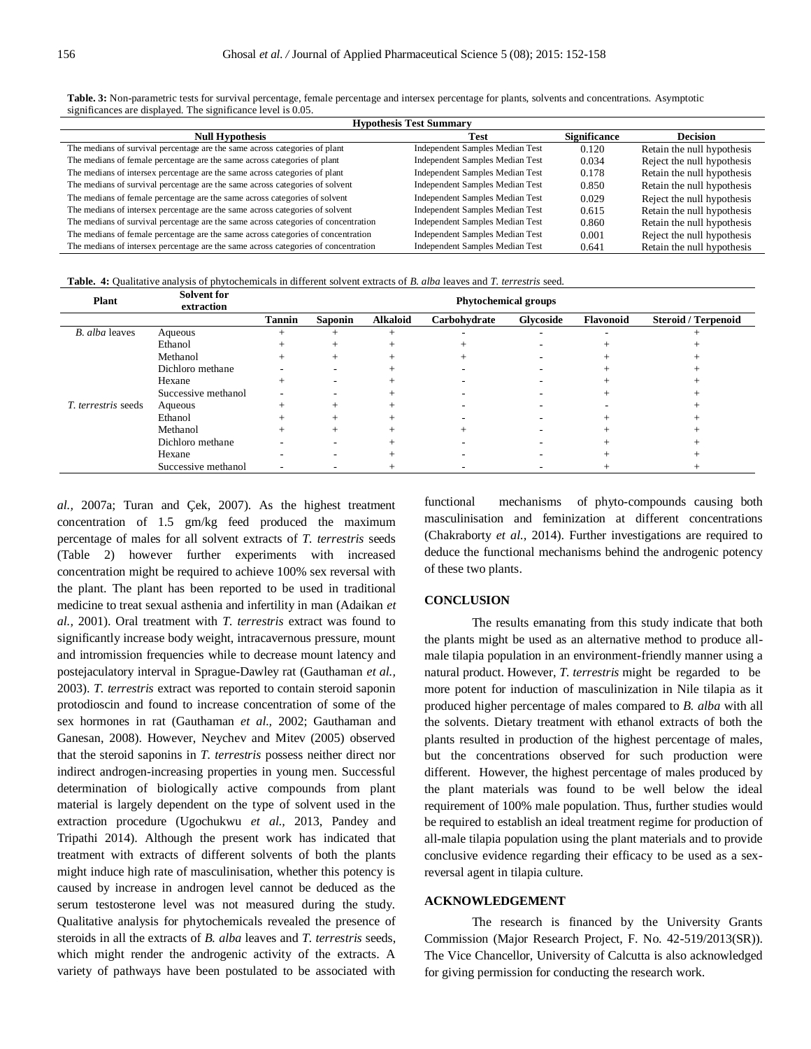| <b>Hypothesis Test Summary</b>                                                     |                                        |                     |                            |  |  |  |  |
|------------------------------------------------------------------------------------|----------------------------------------|---------------------|----------------------------|--|--|--|--|
| <b>Null Hypothesis</b>                                                             | Test                                   | <b>Significance</b> | <b>Decision</b>            |  |  |  |  |
| The medians of survival percentage are the same across categories of plant         | <b>Independent Samples Median Test</b> | 0.120               | Retain the null hypothesis |  |  |  |  |
| The medians of female percentage are the same across categories of plant           | <b>Independent Samples Median Test</b> | 0.034               | Reject the null hypothesis |  |  |  |  |
| The medians of intersex percentage are the same across categories of plant         | Independent Samples Median Test        | 0.178               | Retain the null hypothesis |  |  |  |  |
| The medians of survival percentage are the same across categories of solvent       | Independent Samples Median Test        | 0.850               | Retain the null hypothesis |  |  |  |  |
| The medians of female percentage are the same across categories of solvent         | <b>Independent Samples Median Test</b> | 0.029               | Reject the null hypothesis |  |  |  |  |
| The medians of intersex percentage are the same across categories of solvent       | <b>Independent Samples Median Test</b> | 0.615               | Retain the null hypothesis |  |  |  |  |
| The medians of survival percentage are the same across categories of concentration | <b>Independent Samples Median Test</b> | 0.860               | Retain the null hypothesis |  |  |  |  |
| The medians of female percentage are the same across categories of concentration   | <b>Independent Samples Median Test</b> | 0.001               | Reject the null hypothesis |  |  |  |  |
| The medians of intersex percentage are the same across categories of concentration | <b>Independent Samples Median Test</b> | 0.641               | Retain the null hypothesis |  |  |  |  |

**Table. 3:** Non-parametric tests for survival percentage, female percentage and intersex percentage for plants, solvents and concentrations. Asymptotic significances are displayed. The significance level is 0.05.

**Table. 4:** Qualitative analysis of phytochemicals in different solvent extracts of *B. alba* leaves and *T. terrestris* seed.

| <b>Plant</b>               | <b>Solvent</b> for<br>extraction |                          | <b>Phytochemical groups</b> |                 |              |                          |                  |                            |
|----------------------------|----------------------------------|--------------------------|-----------------------------|-----------------|--------------|--------------------------|------------------|----------------------------|
|                            |                                  | <b>Tannin</b>            | Saponin                     | <b>Alkaloid</b> | Carbohydrate | Glycoside                | <b>Flavonoid</b> | <b>Steroid / Terpenoid</b> |
| B. alba leaves             | Aqueous                          |                          |                             |                 |              |                          |                  |                            |
|                            | Ethanol                          |                          | $^{+}$                      |                 |              |                          |                  |                            |
|                            | Methanol                         |                          | $^{+}$                      |                 |              |                          |                  |                            |
|                            | Dichloro methane                 |                          | $\overline{\phantom{a}}$    |                 |              | -                        |                  |                            |
|                            | Hexane                           |                          | ۰                           |                 |              |                          |                  |                            |
|                            | Successive methanol              |                          |                             |                 |              |                          |                  |                            |
| <i>T. terrestris</i> seeds | Aqueous                          |                          | $^{+}$                      |                 |              | -                        |                  |                            |
|                            | Ethanol                          |                          | $^{+}$                      |                 |              | -                        |                  |                            |
|                            | Methanol                         |                          | $+$                         |                 |              |                          |                  |                            |
|                            | Dichloro methane                 |                          | $\overline{\phantom{a}}$    |                 |              |                          |                  |                            |
|                            | Hexane                           |                          | $\overline{\phantom{a}}$    |                 |              | -                        |                  |                            |
|                            | Successive methanol              | $\overline{\phantom{a}}$ | $\overline{\phantom{a}}$    |                 |              | $\overline{\phantom{a}}$ |                  |                            |

*al.,* 2007a; Turan and Çek, 2007). As the highest treatment concentration of 1.5 gm/kg feed produced the maximum percentage of males for all solvent extracts of *T. terrestris* seeds (Table 2) however further experiments with increased concentration might be required to achieve 100% sex reversal with the plant. The plant has been reported to be used in traditional medicine to treat sexual asthenia and infertility in man (Adaikan *et al.,* 2001). Oral treatment with *T. terrestris* extract was found to significantly increase body weight, intracavernous pressure, mount and intromission frequencies while to decrease mount latency and postejaculatory interval in Sprague-Dawley rat (Gauthaman *et al.,*  2003). *T. terrestris* extract was reported to contain steroid saponin protodioscin and found to increase concentration of some of the sex hormones in rat (Gauthaman *et al.,* 2002; Gauthaman and Ganesan, 2008). However, Neychev and Mitev (2005) observed that the steroid saponins in *T. terrestris* possess neither direct nor indirect androgen-increasing properties in young men. Successful determination of biologically active compounds from plant material is largely dependent on the type of solvent used in the extraction procedure (Ugochukwu *et al.,* 2013, Pandey and Tripathi 2014). Although the present work has indicated that treatment with extracts of different solvents of both the plants might induce high rate of masculinisation, whether this potency is caused by increase in androgen level cannot be deduced as the serum testosterone level was not measured during the study. Qualitative analysis for phytochemicals revealed the presence of steroids in all the extracts of *B. alba* leaves and *T. terrestris* seeds, which might render the androgenic activity of the extracts. A variety of pathways have been postulated to be associated with functional mechanisms of phyto-compounds causing both masculinisation and feminization at different concentrations (Chakraborty *et al.,* 2014). Further investigations are required to deduce the functional mechanisms behind the androgenic potency of these two plants.

# **CONCLUSION**

The results emanating from this study indicate that both the plants might be used as an alternative method to produce allmale tilapia population in an environment-friendly manner using a natural product. However, *T. terrestris* might be regarded to be more potent for induction of masculinization in Nile tilapia as it produced higher percentage of males compared to *B. alba* with all the solvents. Dietary treatment with ethanol extracts of both the plants resulted in production of the highest percentage of males, but the concentrations observed for such production were different. However, the highest percentage of males produced by the plant materials was found to be well below the ideal requirement of 100% male population. Thus, further studies would be required to establish an ideal treatment regime for production of all-male tilapia population using the plant materials and to provide conclusive evidence regarding their efficacy to be used as a sexreversal agent in tilapia culture.

# **ACKNOWLEDGEMENT**

The research is financed by the University Grants Commission (Major Research Project, F. No. 42-519/2013(SR)). The Vice Chancellor, University of Calcutta is also acknowledged for giving permission for conducting the research work.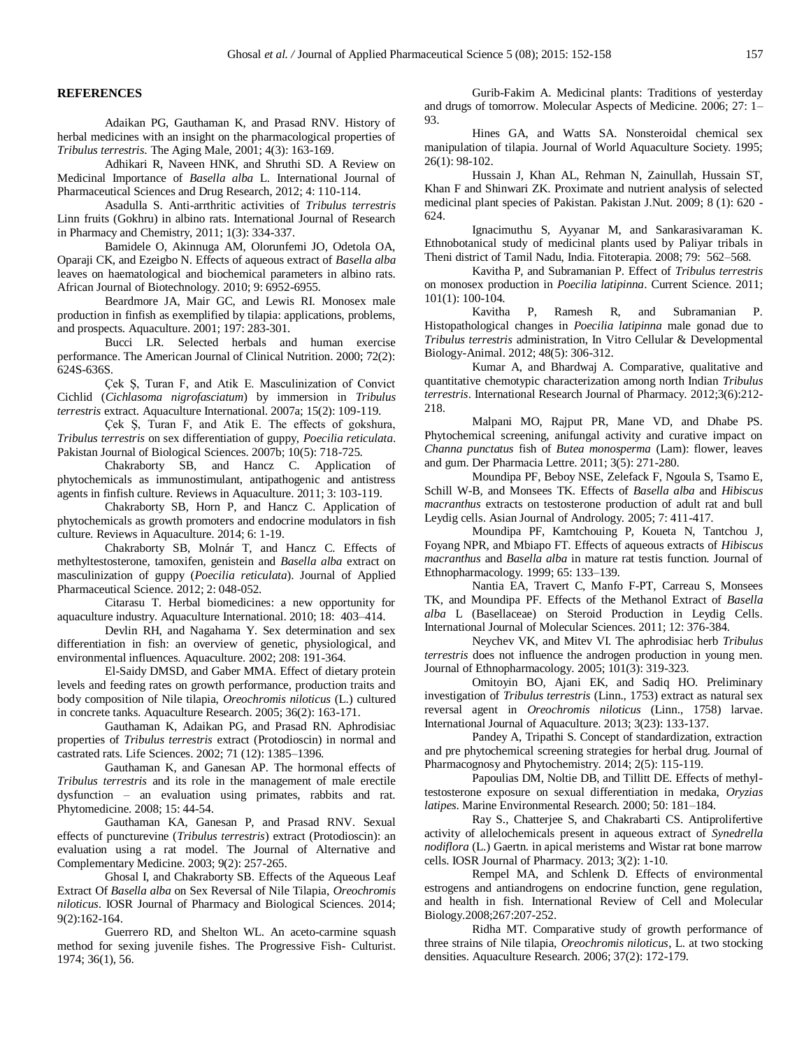### **REFERENCES**

Adaikan PG, Gauthaman K, and Prasad RNV. History of herbal medicines with an insight on the pharmacological properties of *Tribulus terrestris*. The Aging Male, 2001; 4(3): 163-169.

Adhikari R, Naveen HNK, and Shruthi SD. A Review on Medicinal Importance of *Basella alba* L. International Journal of Pharmaceutical Sciences and Drug Research, 2012; 4: 110-114.

Asadulla S. Anti-arrthritic activities of *Tribulus terrestris* Linn fruits (Gokhru) in albino rats. International Journal of Research in Pharmacy and Chemistry, 2011; 1(3): 334-337.

Bamidele O, Akinnuga AM, Olorunfemi JO, Odetola OA, Oparaji CK, and Ezeigbo N. Effects of aqueous extract of *Basella alba* leaves on haematological and biochemical parameters in albino rats. African Journal of Biotechnology. 2010; 9: 6952-6955.

Beardmore JA, Mair GC, and Lewis RI. Monosex male production in finfish as exemplified by tilapia: applications, problems, and prospects. Aquaculture. 2001; 197: 283-301.

Bucci LR. Selected herbals and human exercise performance. The American Journal of Clinical Nutrition. 2000; 72(2): 624S-636S.

Çek Ş, Turan F, and Atik E. Masculinization of Convict Cichlid (*Cichlasoma nigrofasciatum*) by immersion in *Tribulus terrestris* extract. Aquaculture International. 2007a; 15(2): 109-119.

Çek Ş, Turan F, and Atik E. The effects of gokshura, *Tribulus terrestris* on sex differentiation of guppy, *Poecilia reticulata*. Pakistan Journal of Biological Sciences. 2007b; 10(5): 718-725.

Chakraborty SB, and Hancz C. Application of phytochemicals as immunostimulant, antipathogenic and antistress agents in finfish culture. Reviews in Aquaculture. 2011; 3: 103-119.

Chakraborty SB, Horn P, and Hancz C. Application of phytochemicals as growth promoters and endocrine modulators in fish culture. Reviews in Aquaculture. 2014; 6: 1-19.

Chakraborty SB, Molnár T, and Hancz C. Effects of methyltestosterone, tamoxifen, genistein and *Basella alba* extract on masculinization of guppy (*Poecilia reticulata*). Journal of Applied Pharmaceutical Science. 2012; 2: 048-052.

Citarasu T. Herbal biomedicines: a new opportunity for aquaculture industry. Aquaculture International. 2010; 18: 403–414.

Devlin RH, and Nagahama Y. Sex determination and sex differentiation in fish: an overview of genetic, physiological, and environmental influences. Aquaculture. 2002; 208: 191-364.

El-Saidy DMSD, and Gaber MMA. Effect of dietary protein levels and feeding rates on growth performance, production traits and body composition of Nile tilapia, *Oreochromis niloticus* (L.) cultured in concrete tanks. Aquaculture Research. 2005; 36(2): 163-171.

Gauthaman K, Adaikan PG, and Prasad RN. Aphrodisiac properties of *Tribulus terrestris* extract (Protodioscin) in normal and castrated rats. Life Sciences. 2002; 71 (12): 1385–1396.

Gauthaman K, and Ganesan AP. The hormonal effects of *Tribulus terrestris* and its role in the management of male erectile dysfunction – an evaluation using primates, rabbits and rat. Phytomedicine. 2008; 15: 44-54.

Gauthaman KA, Ganesan P, and Prasad RNV. Sexual effects of puncturevine (*Tribulus terrestris*) extract (Protodioscin): an evaluation using a rat model. The Journal of Alternative and Complementary Medicine. 2003; 9(2): 257-265.

Ghosal I, and Chakraborty SB. Effects of the Aqueous Leaf Extract Of *Basella alba* on Sex Reversal of Nile Tilapia, *Oreochromis niloticus*. IOSR Journal of Pharmacy and Biological Sciences. 2014; 9(2):162-164.

Guerrero RD, and Shelton WL. An aceto-carmine squash method for sexing juvenile fishes. The Progressive Fish- Culturist. 1974; 36(1), 56.

Gurib-Fakim A. Medicinal plants: Traditions of yesterday and drugs of tomorrow. Molecular Aspects of Medicine. 2006; 27: 1– 93.

Hines GA, and Watts SA. Nonsteroidal chemical sex manipulation of tilapia. Journal of World Aquaculture Society. 1995; 26(1): 98-102.

Hussain J, Khan AL, Rehman N, Zainullah, Hussain ST, Khan F and Shinwari ZK. Proximate and nutrient analysis of selected medicinal plant species of Pakistan. Pakistan J.Nut. 2009; 8 (1): 620 - 624.

Ignacimuthu S, Ayyanar M, and Sankarasivaraman K. Ethnobotanical study of medicinal plants used by Paliyar tribals in Theni district of Tamil Nadu, India. Fitoterapia. 2008; 79: 562–568.

Kavitha P, and Subramanian P. Effect of *Tribulus terrestris* on monosex production in *Poecilia latipinna*. Current Science. 2011; 101(1): 100-104.

Kavitha P, Ramesh R, and Subramanian P. Histopathological changes in *Poecilia latipinna* male gonad due to *Tribulus terrestris* administration, In Vitro Cellular & Developmental Biology-Animal. 2012; 48(5): 306-312.

Kumar A, and Bhardwaj A. Comparative, qualitative and quantitative chemotypic characterization among north Indian *Tribulus terrestris*. International Research Journal of Pharmacy. 2012;3(6):212- 218.

Malpani MO, Rajput PR, Mane VD, and Dhabe PS. Phytochemical screening, anifungal activity and curative impact on *Channa punctatus* fish of *Butea monosperma* (Lam): flower, leaves and gum. Der Pharmacia Lettre. 2011; 3(5): 271-280.

Moundipa PF, Beboy NSE, Zelefack F, Ngoula S, Tsamo E, Schill W-B, and Monsees TK. Effects of *Basella alba* and *Hibiscus macranthus* extracts on testosterone production of adult rat and bull Leydig cells. Asian Journal of Andrology. 2005; 7: 411-417.

Moundipa PF, Kamtchouing P, Koueta N, Tantchou J, Foyang NPR, and Mbiapo FT. Effects of aqueous extracts of *Hibiscus macranthus* and *Basella alba* in mature rat testis function. Journal of Ethnopharmacology. 1999; 65: 133–139.

Nantia EA, Travert C, Manfo F-PT, Carreau S, Monsees TK, and Moundipa PF. Effects of the Methanol Extract of *Basella alba* L (Basellaceae) on Steroid Production in Leydig Cells. International Journal of Molecular Sciences. 2011; 12: 376-384.

Neychev VK, and Mitev VI. The aphrodisiac herb *Tribulus terrestris* does not influence the androgen production in young men. Journal of Ethnopharmacology. 2005; 101(3): 319-323.

Omitoyin BO, Ajani EK, and Sadiq HO. Preliminary investigation of *Tribulus terrestris* (Linn., 1753) extract as natural sex reversal agent in *Oreochromis niloticus* (Linn., 1758) larvae. International Journal of Aquaculture. 2013; 3(23): 133-137.

Pandey A, Tripathi S. Concept of standardization, extraction and pre phytochemical screening strategies for herbal drug. Journal of Pharmacognosy and Phytochemistry. 2014; 2(5): 115-119.

Papoulias DM, Noltie DB, and Tillitt DE. Effects of methyltestosterone exposure on sexual differentiation in medaka, *Oryzias latipes*. Marine Environmental Research. 2000; 50: 181–184.

Ray S., Chatterjee S, and Chakrabarti CS. Antiprolifertive activity of allelochemicals present in aqueous extract of *Synedrella nodiflora* (L.) Gaertn. in apical meristems and Wistar rat bone marrow cells. IOSR Journal of Pharmacy. 2013; 3(2): 1-10.

Rempel MA, and Schlenk D. Effects of environmental estrogens and antiandrogens on endocrine function, gene regulation, and health in fish. International Review of Cell and Molecular Biology.2008;267:207-252.

Ridha MT. Comparative study of growth performance of three strains of Nile tilapia, *Oreochromis niloticus*, L. at two stocking densities. Aquaculture Research. 2006; 37(2): 172-179.